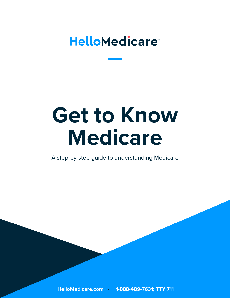# **HelloMedicare**

# **Get to Know Medicare**

A step-by-step guide to understanding Medicare

**HelloMedicare.com 1-888-489-7631; TTY 711 1 [HelloMedicare.com](https://hellomedicare.com/?utm_source=webpdf&utm_medium=web&utm_campaign=webpdf&CustomFMO1=HM002203&TFN=1-888-490-3682) 1-888-489-7631; TTY 711**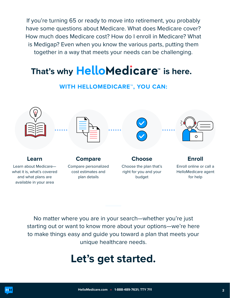If you're turning 65 or ready to move into retirement, you probably have some questions about Medicare. What does Medicare cover? How much does Medicare cost? How do I enroll in Medicare? What is Medigap? Even when you know the various parts, putting them together in a way that meets your needs can be challenging.

# That's why HelloMedicare<sup>®</sup> is here.

### **WITH HELLOMEDICARE™, YOU CAN:**



No matter where you are in your search—whether you're just starting out or want to know more about your options—we're here to make things easy and guide you toward a plan that meets your unique healthcare needs.

# **Let's get started.**

**HM**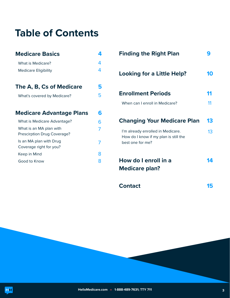# **Table of Contents**

| <b>Medicare Basics</b>                                 |    |
|--------------------------------------------------------|----|
| What is Medicare?                                      | 4  |
| <b>Medicare Eligibility</b>                            | 4  |
| The A, B, Cs of Medicare                               | 5  |
| What's covered by Medicare?                            | 5  |
|                                                        |    |
| <b>Medicare Advantage Plans</b>                        | 6  |
| What is Medicare Advantage?                            | ิค |
| What is an MA plan with<br>Prescirption Drug Coverage? |    |
| Is an MA plan with Drug<br>Coverage right for you?     |    |
| Keep in Mind                                           | 8  |
| Good to Know                                           | 8  |

| <b>Finding the Right Plan</b>                                                                  |    |
|------------------------------------------------------------------------------------------------|----|
| Looking for a Little Help?                                                                     | 10 |
| <b>Enrollment Periods</b>                                                                      | 11 |
| When can I enroll in Medicare?                                                                 | 11 |
| <b>Changing Your Medicare Plan</b>                                                             | 13 |
| I'm already enrolled in Medicare.<br>How do I know if my plan is still the<br>best one for me? | 13 |
| How do I enroll in a<br><b>Medicare plan?</b>                                                  |    |
| <b>Contact</b>                                                                                 |    |

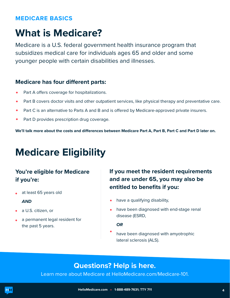#### <span id="page-3-0"></span>**MEDICARE BASICS**

# **What is Medicare?**

Medicare is a U.S. federal government health insurance program that subsidizes medical care for individuals ages 65 and older and some younger people with certain disabilities and illnesses.

#### **Medicare has four diferent parts:**

- Part A offers coverage for hospitalizations.
- Part B covers doctor visits and other outpatient services, like physical therapy and preventative care.  $\bullet$
- Part C is an alternative to Parts A and B and is offered by Medicare-approved private insurers.  $\bullet$
- $\bullet$ Part D provides prescription drug coverage.

**We'll talk more about the costs and diferences between Medicare Part A, Part B, Part C and Part D later on.** 

# **Medicare Eligibility**

### **You're eligible for Medicare if you're:**

- at least 65 years old *AND*
- a U.S. citizen, or
- a permanent legal resident for the past 5 years.

### **If you meet the resident requirements and are under 65, you may also be entitled to benefits if you:**

- have a qualifying disability,
- have been diagnosed with end-stage renal disease (ESRD,

#### *OR*

have been diagnosed with amyotrophic lateral sclerosis (ALS).

### **Questions? Help is here.**

Learn more about Medicare at [HelloMedicare.com/Medicare-101.](https://hellomedicare.com/medicare-101/?utm_source=webpdf&utm_medium=web&utm_campaign=webpdf&CustomFMO1=HM002203&TFN=1-888-490-3682)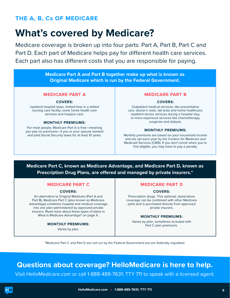### <span id="page-4-0"></span>**THE A, B, Cs OF MEDICARE**

## **What's covered by Medicare?**

Medicare coverage is broken up into four parts: Part A, Part B, Part C and Part D. Each part of Medicare helps pay for diferent health care services. Each part also has diferent costs that you are responsible for paying.

> **Medicare Part A and Part B together make up what is known as Original Medicare which is run by the Federal Government.**

#### **MEDICARE PART A**

#### **COVERS:**

inpatient hospital stays, limited time in a skilled nursing care facility, some home health care services and hospice care.

#### **MONTHLY PREMIUMS:**

For most people, Medicare Part A is free—meaning you pay no premiums—if you or your spouse worked and paid Social Security taxes for at least 10 years.

#### **MEDICARE PART B**

#### **COVERS:**

Outpatient medical services, like preventative care, doctor's visits, lab tests and home healthcare, inpatient doctor services during a hospital stay, or more expensive services like chemotherapy, surgeries and dialysis.

#### **MONTHLY PREMIUMS:**

Monthly premiums are based on your household income and are set each year by the Centers for Medicare and Medicaid Services (CMS). If you don't enroll when you're frst eligible, you may have to pay a penalty.

#### **Medicare Part C, known as Medicare Advantage, and Medicare Part D, known as Prescription Drug Plans, are ofered and managed by private insurers.\***

#### **MEDICARE PART C**

#### **COVERS:**

An alternative to Original Medicare (Part A and Part B), Medicare Part C (also known as Medicare Advantage) combines hospital and medical coverage into one plan administered by approved private insurers. Read more about these types of plans in What is Medicare Advantage? on page X.

#### **MONTHLY PREMIUMS:**

Varies by plan.

#### **MEDICARE PART D**

#### **COVERS:**

Prescription drugs. This optional, stand-alone coverage can be combined with other Medicare parts and is purchased directly from approved private insurers.

#### **MONTHLY PREMIUMS:**

Varies by plan, sometimes included with Part C plan premiums.

\*Medicare Part C and Part D are not run by the Federal Government but are federally regulated.

### **Questions about coverage? HelloMedicare is here to help.**

Visit [HelloMedicare.com](https://hellomedicare.com/?utm_source=webpdf&utm_medium=web&utm_campaign=webpdf&CustomFMO1=HM002203&TFN=1-888-490-3682) or call 1-888-489-7631; TTY 711 to speak with a licensed agent.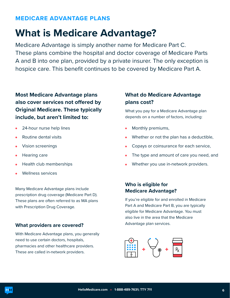#### <span id="page-5-0"></span>**MEDICARE ADVANTAGE PLANS**

## **What is Medicare Advantage?**

Medicare Advantage is simply another name for Medicare Part C. These plans combine the hospital and doctor coverage of Medicare Parts A and B into one plan, provided by a private insurer. The only exception is hospice care. This benefit continues to be covered by Medicare Part A.

**Most Medicare Advantage plans also cover services not ofered by Original Medicare. These typically include, but aren't limited to:** 

- 24-hour nurse help lines
- Routine dental visits
- Vision screenings  $\bullet$
- Hearing care  $\bullet$
- Health club memberships
- Wellness services

Many Medicare Advantage plans include prescription drug coverage (Medicare Part D). These plans are often referred to as MA plans with Prescription Drug Coverage.

#### **What providers are covered?**

With Medicare Advantage plans, you generally need to use certain doctors, hospitals, pharmacies and other healthcare providers. These are called in-network providers.

#### **What do Medicare Advantage plans cost?**

What you pay for a Medicare Advantage plan depends on a number of factors, including:

- Monthly premiums,
- Whether or not the plan has a deductible,
- Copays or coinsurance for each service,
- The type and amount of care you need, and
- Whether you use in-network providers.

#### **Who is eligible for Medicare Advantage?**

If you're eligible for and enrolled in Medicare Part A and Medicare Part B, you are typically eligible for Medicare Advantage. You must also live in the area that the Medicare Advantage plan services.

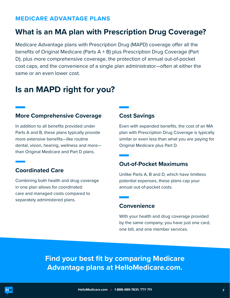#### <span id="page-6-0"></span>**MEDICARE ADVANTAGE PLANS**

### **What is an MA plan with Prescription Drug Coverage?**

Medicare Advantage plans with Prescription Drug (MAPD) coverage ofer all the benefits of Original Medicare (Parts  $A + B$ ) plus Prescription Drug Coverage (Part D), plus more comprehensive coverage, the protection of annual out-of-pocket cost caps, and the convenience of a single plan administrator—often at either the same or an even lower cost.

### **Is an MAPD right for you?**

#### **More Comprehensive Coverage**

In addition to all benefits provided under Parts A and B, these plans typically provide more extensive benefits—like routine dental, vision, hearing, wellness and more than Original Medicare and Part D plans.

#### **Coordinated Care**

Combining both health and drug coverage in one plan allows for coordinated care and managed costs compared to separately administered plans.

#### **Cost Savings**

Even with expanded benefits, the cost of an MA plan with Prescription Drug Coverage is typically similar or even less than what you are paying for Original Medicare plus Part D.

#### **Out-of-Pocket Maximums**

Unlike Parts A, B and D, which have limitless potential expenses, these plans cap your annual out-of-pocket costs.

#### **Convenience**

With your health and drug coverage provided by the same company, you have just one card, one bill, and one member services.

**Find your best fit by comparing Medicare Advantage plans at [HelloMedicare.com.](https://hellomedicare.com/?utm_source=webpdf&utm_medium=web&utm_campaign=webpdf&CustomFMO1=HM002203&TFN=1-888-490-3682)**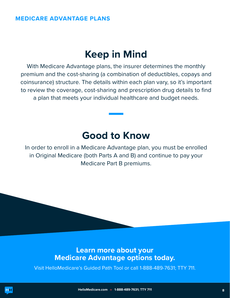#### <span id="page-7-0"></span>**MEDICARE ADVANTAGE PLANS**

### **Keep in Mind**

With Medicare Advantage plans, the insurer determines the monthly premium and the cost-sharing (a combination of deductibles, copays and coinsurance) structure. The details within each plan vary, so it's important to review the coverage, cost-sharing and prescription drug details to fnd a plan that meets your individual healthcare and budget needs.

### **Good to Know**

In order to enroll in a Medicare Advantage plan, you must be enrolled in Original Medicare (both Parts A and B) and continue to pay your Medicare Part B premiums.

### **Learn more about your Medicare Advantage options today.**

Visit HelloMedicare's [Guided Path Tool](https://hellomedicare6.destinationrx.com/PC/2021/GuidedHelp/GetStarted?utm_source=webpdf&utm_medium=web&utm_campaign=webpdf&CustomFMO1=HM002203&TFN=1-888-490-3682) or call 1-888-489-7631; TTY 711.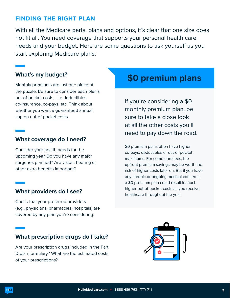#### <span id="page-8-0"></span>**FINDING THE RIGHT PLAN**

With all the Medicare parts, plans and options, it's clear that one size does not fit all. You need coverage that supports your personal health care needs and your budget. Here are some questions to ask yourself as you start exploring Medicare plans:

#### **What's my budget?**

Monthly premiums are just one piece of the puzzle. Be sure to consider each plan's out-of-pocket costs, like deductibles, co-insurance, co-pays, etc. Think about whether you want a guaranteed annual cap on out-of-pocket costs.

#### **What coverage do I need?**

Consider your health needs for the upcoming year. Do you have any major surgeries planned? Are vision, hearing or other extra benefits important?

#### **What providers do I see?**

Check that your preferred providers (e.g., physicians, pharmacies, hospitals) are covered by any plan you're considering.

#### **What prescription drugs do I take?**

Are your prescription drugs included in the Part D plan formulary? What are the estimated costs of your prescriptions?

### **\$0 premium plans**

If you're considering a \$0 monthly premium plan, be sure to take a close look at all the other costs you'll need to pay down the road.

\$0 premium plans often have higher co-pays, deductibles or out-of-pocket maximums. For some enrollees, the upfront premium savings may be worth the risk of higher costs later on. But if you have any chronic or ongoing medical concerns, a \$0 premium plan could result in much higher out-of-pocket costs as you receive healthcare throughout the year.

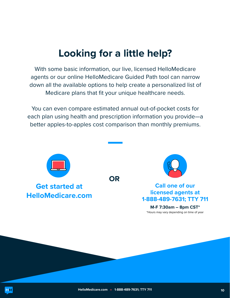# **Looking for a little help?**

<span id="page-9-0"></span>With some basic information, our live, licensed HelloMedicare agents or our online [HelloMedicare Guided Path tool](https://hellomedicare6.destinationrx.com/PC/2021/GuidedHelp/GetStarted?utm_source=webpdf&utm_medium=web&utm_campaign=webpdf&CustomFMO1=HM002203&TFN=1-888-490-3682
) can narrow down all the available options to help create a personalized list of Medicare plans that fit your unique healthcare needs.

You can even compare estimated annual out-of-pocket costs for each plan using health and prescription information you provide—a better apples-to-apples cost comparison than monthly premiums.

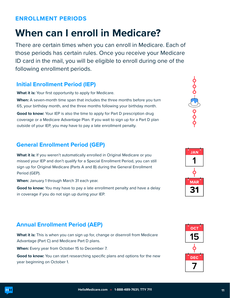#### <span id="page-10-0"></span>**ENROLLMENT PERIODS**

# **When can I enroll in Medicare?**

There are certain times when you can enroll in Medicare. Each of those periods has certain rules. Once you receive your Medicare ID card in the mail, you will be eligible to enroll during one of the following enrollment periods.

#### **Initial Enrollment Period (IEP)**

What it is: Your first opportunity to apply for Medicare.

**When:** A seven-month time span that includes the three months before you turn 65, your birthday month, and the three months following your birthday month.

**Good to know:** Your IEP is also the time to apply for Part D prescription drug coverage or a Medicare Advantage Plan. If you wait to sign up for a Part D plan outside of your IEP, you may have to pay a late enrollment penalty.

### **General Enrollment Period (GEP)**

What it is: If you weren't automatically enrolled in Original Medicare or you missed your IEP and don't qualify for a Special Enrollment Period, you can still sign up for Original Medicare (Parts A and B) during the General Enrollment Period (GEP).

**When:** January 1 through March 31 each year.

**Good to know:** You may have to pay a late enrollment penalty and have a delay in coverage if you do not sign up during your IEP.

### **Annual Enrollment Period (AEP)**

**What it is:** This is when you can sign up for, change or disenroll from Medicare Advantage (Part C) and Medicare Part D plans.

**When:** Every year from October 15 to December 7.

**Good to know:** You can start researching specifc plans and options for the new year beginning on October 1.







**MAR** 31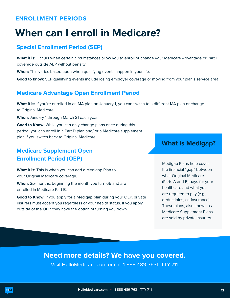#### **ENROLLMENT PERIODS**

# **When can I enroll in Medicare?**

#### **Special Enrollment Period (SEP)**

**What it is:** Occurs when certain circumstances allow you to enroll or change your Medicare Advantage or Part D coverage outside AEP without penalty.

**When:** This varies based upon when qualifying events happen in your life.

**Good to know:** SEP qualifying events include losing employer coverage or moving from your plan's service area.

### **Medicare Advantage Open Enrollment Period**

**What it is:** If you're enrolled in an MA plan on January 1, you can switch to a diferent MA plan or change to Original Medicare.

**When:** January 1 through March 31 each year

**Good to Know:** While you can only change plans once during this period, you can enroll in a Part D plan and/ or a Medicare supplement plan if you switch back to Original Medicare.

### **Medicare Supplement Open Enrollment Period (OEP)**

**What it is:** This is when you can add a Medigap Plan to your Original Medicare coverage.

**When:** Six-months, beginning the month you turn 65 and are enrolled in Medicare Part B.

**Good to Know:** If you apply for a Medigap plan during your OEP, private insurers must accept you regardless of your health status. If you apply outside of the OEP, they have the option of turning you down.

### **What is Medigap?**

Medigap Plans help cover the fnancial "gap" between what Original Medicare (Parts A and B) pays for your healthcare and what you are required to pay (e.g., deductibles, co-insurance). These plans, also known as Medicare Supplement Plans, are sold by private insurers.

**Need more details? We have you covered.** 

Visit [HelloMedicare.com](https://hellomedicare.com/?utm_source=webpdf&utm_medium=web&utm_campaign=webpdf&CustomFMO1=HM002203&TFN=1-888-490-3682) or call 1-888-489-7631; TTY 711.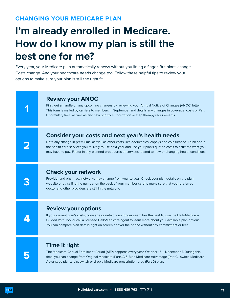#### <span id="page-12-0"></span>**CHANGING YOUR MEDICARE PLAN**

# **I'm already enrolled in Medicare. How do I know my plan is still the best one for me?**

Every year, your Medicare plan automatically renews without you lifting a finger. But plans change. Costs change. And your healthcare needs change too. Follow these helpful tips to review your options to make sure your plan is still the right fit.

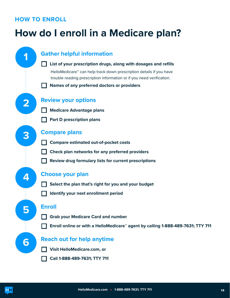#### <span id="page-13-0"></span>**HOW TO ENROLL**

# **How do I enroll in a Medicare plan?**